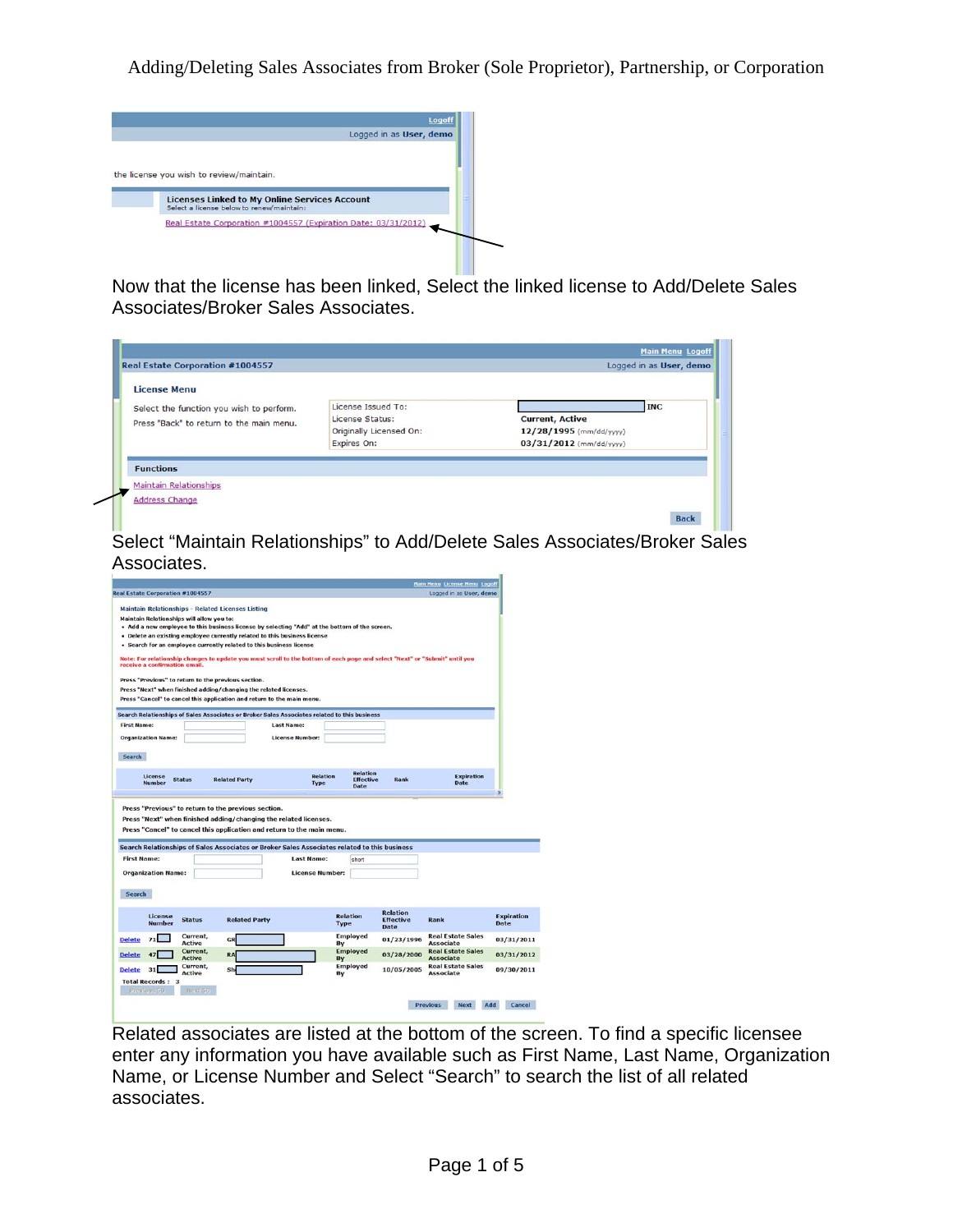

Now that the license has been linked, Select the linked license to Add/Delete Sales Associates/Broker Sales Associates.

| <b>License Menu</b>                      |                                       |                                                   |            |
|------------------------------------------|---------------------------------------|---------------------------------------------------|------------|
| Select the function you wish to perform. | License Issued To:<br>License Status: |                                                   | <b>INC</b> |
| Press "Back" to return to the main menu. | Originally Licensed On:               | <b>Current, Active</b><br>12/28/1995 (mm/dd/yyyy) |            |
|                                          | Expires On:                           | 03/31/2012 (mm/dd/yyyy)                           |            |
| <b>Functions</b>                         |                                       |                                                   |            |
| <b>Maintain Relationships</b>            |                                       |                                                   |            |

Select "Maintain Relationships" to Add/Delete Sales Associates/Broker Sales Associates.

|                                                                                                                                                                        |                           |                      |                        |                 |                          |                                             | <b>Main Henu License Menu Logoff</b>         |                           |
|------------------------------------------------------------------------------------------------------------------------------------------------------------------------|---------------------------|----------------------|------------------------|-----------------|--------------------------|---------------------------------------------|----------------------------------------------|---------------------------|
| <b>Real Estate Corporation #1004557</b>                                                                                                                                |                           |                      |                        |                 |                          |                                             | Logged in as User, demo                      |                           |
| Maintain Relationships - Related Licenses Listing                                                                                                                      |                           |                      |                        |                 |                          |                                             |                                              |                           |
| Maintain Relationships will allow you to:<br>+ Add a new employee to this business license by selecting "Add" at the bottom of the screen.                             |                           |                      |                        |                 |                          |                                             |                                              |                           |
| . Delete an existing employee currently related to this business license                                                                                               |                           |                      |                        |                 |                          |                                             |                                              |                           |
| . Search for an employee currently related to this business license                                                                                                    |                           |                      |                        |                 |                          |                                             |                                              |                           |
| Note: For relationship changes to update you must scroll to the bottom of each page and select "Next" or "Submit" until you<br>receive a confirmation email.           |                           |                      |                        |                 |                          |                                             |                                              |                           |
| Press "Previous" to return to the previous section.                                                                                                                    |                           |                      |                        |                 |                          |                                             |                                              |                           |
| Press "Next" when finished adding/changing the related licenses.<br>Press "Cancel" to cancel this application and return to the main menu.                             |                           |                      |                        |                 |                          |                                             |                                              |                           |
|                                                                                                                                                                        |                           |                      |                        |                 |                          |                                             |                                              |                           |
| Search Relationships of Sales Associates or Broker Sales Associates related to this business                                                                           |                           |                      |                        |                 |                          |                                             |                                              |                           |
| <b>First Name:</b>                                                                                                                                                     |                           |                      | <b>Last Name:</b>      |                 |                          |                                             |                                              |                           |
| <b>Organization Name:</b>                                                                                                                                              |                           |                      | <b>License Number:</b> |                 |                          |                                             |                                              |                           |
| Search                                                                                                                                                                 |                           |                      |                        |                 |                          |                                             |                                              |                           |
|                                                                                                                                                                        |                           |                      |                        |                 | <b>Relation</b>          |                                             | <b>Expiration</b>                            |                           |
| License<br><b>Number</b><br>Press "Previous" to return to the previous section.<br>Press "Next" when finished adding/changing the related licenses.                    | <b>Status</b>             | <b>Related Party</b> | Type                   | <b>Relation</b> | <b>Effective</b><br>Date | Rank                                        | Date                                         |                           |
| Press "Cancel" to cancel this application and return to the main menu.<br>Search Relationships of Sales Associates or Broker Sales Associates related to this business |                           |                      |                        |                 |                          |                                             |                                              |                           |
| <b>First Name:</b>                                                                                                                                                     |                           |                      | <b>Last Name:</b>      |                 | short                    |                                             |                                              |                           |
| <b>Organization Name:</b>                                                                                                                                              |                           |                      | <b>License Number:</b> |                 |                          |                                             |                                              |                           |
| Search                                                                                                                                                                 |                           |                      |                        |                 |                          |                                             |                                              |                           |
| License<br><b>Number</b>                                                                                                                                               | <b>Status</b>             | <b>Related Party</b> |                        | <b>Type</b>     | <b>Relation</b>          | <b>Relation</b><br><b>Effective</b><br>Date | Rank                                         | <b>Expiration</b><br>Date |
|                                                                                                                                                                        | Current,<br><b>Active</b> | GR                   |                        | By              | <b>Employed</b>          | 01/23/1996                                  | <b>Real Estate Sales</b><br><b>Associate</b> | 03/31/2011                |
| <b>Delete</b><br><b>Delete</b>                                                                                                                                         | Current,<br><b>Active</b> | <b>RA</b>            |                        | By              | <b>Employed</b>          | 03/28/2000                                  | <b>Real Estate Sales</b><br><b>Associate</b> | 03/31/2012                |
| <b>Delete</b><br>31<br><b>Total Records: 3</b>                                                                                                                         | Current,<br><b>Active</b> | Sh                   |                        | By              | <b>Employed</b>          | 10/05/2005                                  | <b>Real Estate Sales</b><br><b>Associate</b> | 09/30/2011                |
| Pravious 50                                                                                                                                                            | Ningitin                  |                      |                        |                 |                          |                                             |                                              |                           |

Related associates are listed at the bottom of the screen. To find a specific licensee enter any information you have available such as First Name, Last Name, Organization Name, or License Number and Select "Search" to search the list of all related associates.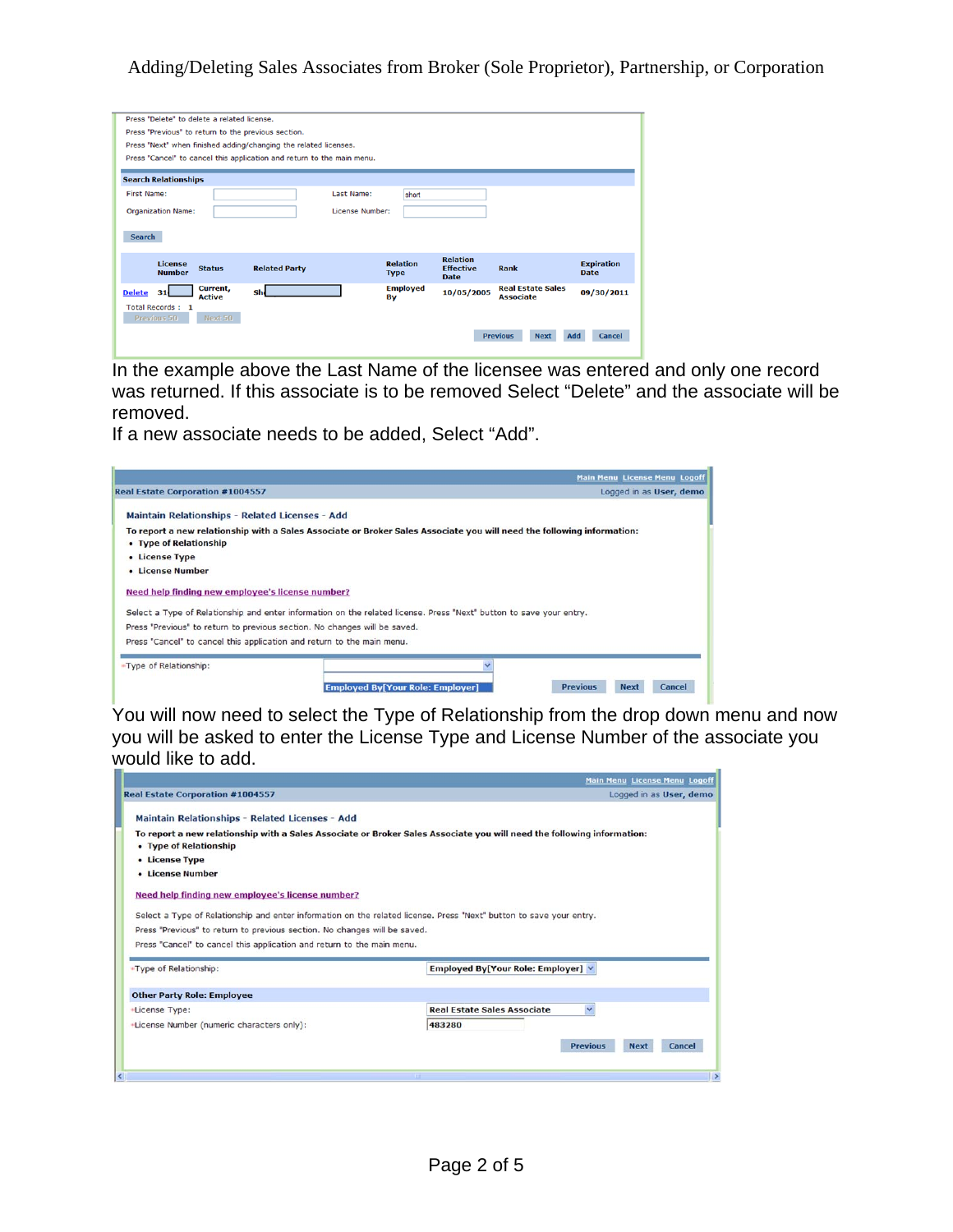| Press "Delete" to delete a related license.                              |                                |                  |                                              |                                  |
|--------------------------------------------------------------------------|--------------------------------|------------------|----------------------------------------------|----------------------------------|
| Press "Previous" to return to the previous section.                      |                                |                  |                                              |                                  |
| Press "Next" when finished adding/changing the related licenses.         |                                |                  |                                              |                                  |
| Press "Cancel" to cancel this application and return to the main menu.   |                                |                  |                                              |                                  |
|                                                                          |                                |                  |                                              |                                  |
| <b>Search Relationships</b>                                              |                                |                  |                                              |                                  |
| <b>First Name:</b>                                                       | Last Name:<br>short            |                  |                                              |                                  |
| <b>Organization Name:</b>                                                | License Number:                |                  |                                              |                                  |
|                                                                          |                                |                  |                                              |                                  |
| <b>Search</b>                                                            |                                |                  |                                              |                                  |
|                                                                          |                                |                  |                                              |                                  |
|                                                                          |                                | <b>Relation</b>  |                                              |                                  |
| <b>License</b><br><b>Status</b><br><b>Related Party</b><br><b>Number</b> | <b>Relation</b><br><b>Type</b> | <b>Effective</b> | Rank                                         | <b>Expiration</b><br><b>Date</b> |
|                                                                          |                                | Date             |                                              |                                  |
| Current,<br>Shd<br><b>Delete</b><br>31 <sub>1</sub><br><b>Active</b>     | <b>Employed</b><br>By          | 10/05/2005       | <b>Real Estate Sales</b><br><b>Associate</b> | 09/30/2011                       |
| Total Records: 1                                                         |                                |                  |                                              |                                  |
| Next 50<br>Previous 50                                                   |                                |                  |                                              |                                  |
|                                                                          |                                |                  |                                              |                                  |
|                                                                          |                                | <b>Previous</b>  | <b>Next</b>                                  | Add<br><b>Cancel</b>             |
|                                                                          |                                |                  |                                              |                                  |

In the example above the Last Name of the licensee was entered and only one record was returned. If this associate is to be removed Select "Delete" and the associate will be removed.

If a new associate needs to be added, Select "Add".

|                                                                           |                                                                                                                        | <b>Main Menu License Menu Logoff</b>     |
|---------------------------------------------------------------------------|------------------------------------------------------------------------------------------------------------------------|------------------------------------------|
| <b>Real Estate Corporation #1004557</b>                                   |                                                                                                                        | Logged in as User, demo                  |
| Maintain Relationships - Related Licenses - Add                           |                                                                                                                        |                                          |
|                                                                           |                                                                                                                        |                                          |
|                                                                           | To report a new relationship with a Sales Associate or Broker Sales Associate you will need the following information: |                                          |
| • Type of Relationship                                                    |                                                                                                                        |                                          |
| • License Type                                                            |                                                                                                                        |                                          |
| • License Number                                                          |                                                                                                                        |                                          |
|                                                                           |                                                                                                                        |                                          |
| Need help finding new employee's license number?                          |                                                                                                                        |                                          |
|                                                                           |                                                                                                                        |                                          |
|                                                                           | Select a Type of Relationship and enter information on the related license. Press "Next" button to save your entry.    |                                          |
| Press "Previous" to return to previous section. No changes will be saved. |                                                                                                                        |                                          |
| Press "Cancel" to cancel this application and return to the main menu.    |                                                                                                                        |                                          |
|                                                                           |                                                                                                                        |                                          |
| -Type of Relationship:                                                    | v                                                                                                                      |                                          |
|                                                                           |                                                                                                                        |                                          |
|                                                                           | <b>Employed By[Your Role: Employer]</b>                                                                                | <b>Previous</b><br>Cancel<br><b>Next</b> |

You will now need to select the Type of Relationship from the drop down menu and now you will be asked to enter the License Type and License Number of the associate you would like to add.

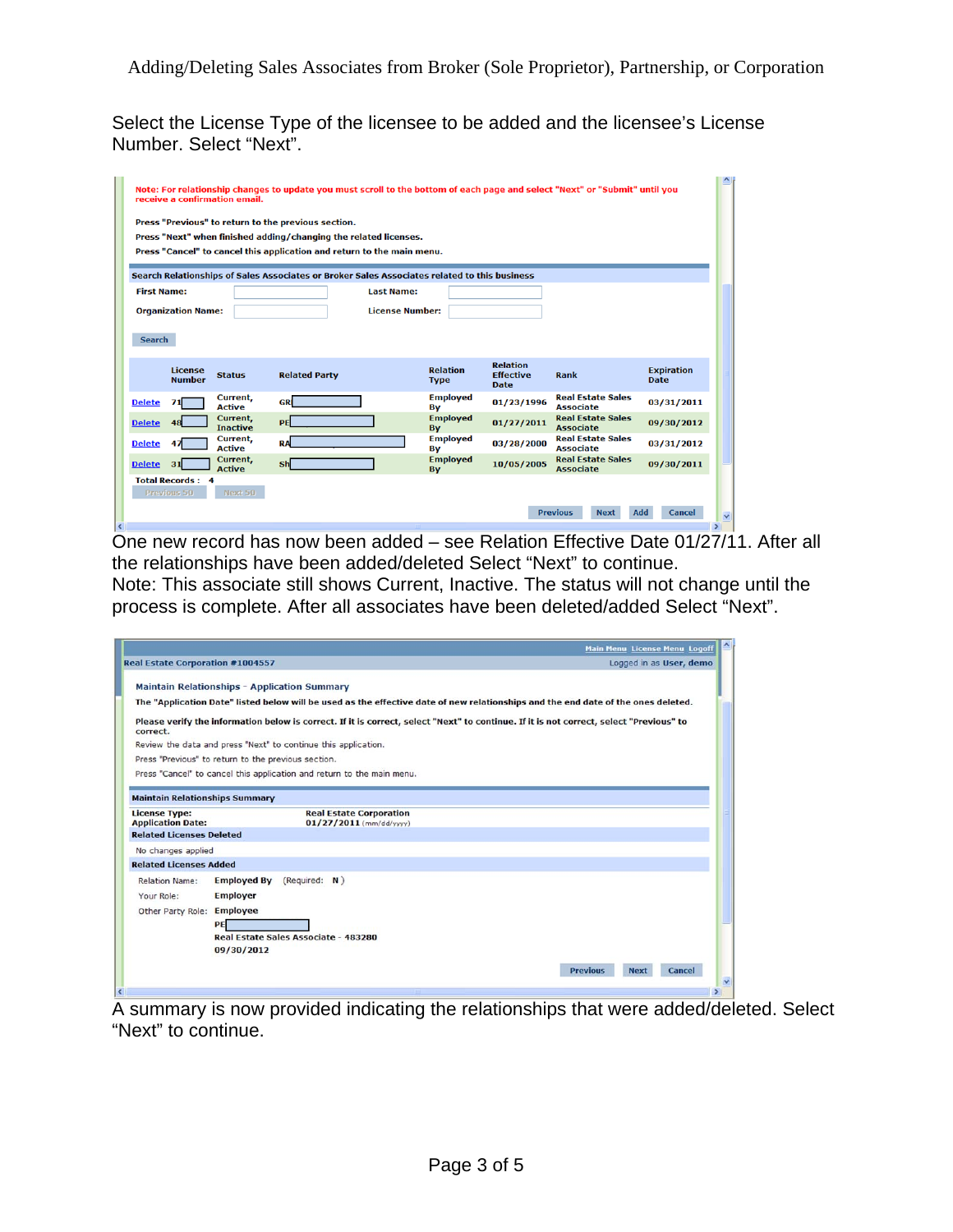Select the License Type of the licensee to be added and the licensee's License Number. Select "Next".

|   |                    |                           | receive a confirmation email. |                                                                                              |                        |                                |                                                    | Note: For relationship changes to update you must scroll to the bottom of each page and select "Next" or "Submit" until you |                                  | $\hat{\ }$    |
|---|--------------------|---------------------------|-------------------------------|----------------------------------------------------------------------------------------------|------------------------|--------------------------------|----------------------------------------------------|-----------------------------------------------------------------------------------------------------------------------------|----------------------------------|---------------|
|   |                    |                           |                               | Press "Previous" to return to the previous section.                                          |                        |                                |                                                    |                                                                                                                             |                                  |               |
|   |                    |                           |                               | Press "Next" when finished adding/changing the related licenses.                             |                        |                                |                                                    |                                                                                                                             |                                  |               |
|   |                    |                           |                               | Press "Cancel" to cancel this application and return to the main menu.                       |                        |                                |                                                    |                                                                                                                             |                                  |               |
|   |                    |                           |                               | Search Relationships of Sales Associates or Broker Sales Associates related to this business |                        |                                |                                                    |                                                                                                                             |                                  |               |
|   | <b>First Name:</b> |                           |                               |                                                                                              | <b>Last Name:</b>      |                                |                                                    |                                                                                                                             |                                  |               |
|   |                    | <b>Organization Name:</b> |                               |                                                                                              | <b>License Number:</b> |                                |                                                    |                                                                                                                             |                                  |               |
|   |                    |                           |                               |                                                                                              |                        |                                |                                                    |                                                                                                                             |                                  |               |
|   | <b>Search</b>      |                           |                               |                                                                                              |                        |                                |                                                    |                                                                                                                             |                                  |               |
|   |                    | License<br><b>Number</b>  | <b>Status</b>                 | <b>Related Party</b>                                                                         |                        | <b>Relation</b><br><b>Type</b> | <b>Relation</b><br><b>Effective</b><br><b>Date</b> | Rank                                                                                                                        | <b>Expiration</b><br><b>Date</b> |               |
|   | <b>Delete</b>      | 71                        | Current,<br><b>Active</b>     | <b>GRI</b>                                                                                   |                        | <b>Employed</b><br>By          | 01/23/1996                                         | <b>Real Estate Sales</b><br><b>Associate</b>                                                                                | 03/31/2011                       |               |
|   | <b>Delete</b>      | 48                        | Current,<br><b>Inactive</b>   | PE                                                                                           |                        | <b>Employed</b><br>By          | 01/27/2011                                         | <b>Real Estate Sales</b><br><b>Associate</b>                                                                                | 09/30/2012                       |               |
|   | <b>Delete</b>      | 47                        | Current,<br><b>Active</b>     | <b>RA</b>                                                                                    |                        | <b>Employed</b><br>By          | 03/28/2000                                         | <b>Real Estate Sales</b><br><b>Associate</b>                                                                                | 03/31/2012                       |               |
|   | <b>Delete</b>      | 31                        | Current,<br><b>Active</b>     | $\mathsf{Sh}$                                                                                |                        | <b>Employed</b><br>By          | 10/05/2005                                         | <b>Real Estate Sales</b><br><b>Associate</b>                                                                                | 09/30/2011                       |               |
|   |                    | <b>Total Records: 4</b>   |                               |                                                                                              |                        |                                |                                                    |                                                                                                                             |                                  |               |
|   |                    | Previous 50               | Next 50                       |                                                                                              |                        |                                |                                                    |                                                                                                                             |                                  |               |
|   |                    |                           |                               |                                                                                              |                        |                                |                                                    | <b>Previous</b><br><b>Next</b>                                                                                              | Add<br>Cancel                    | $\checkmark$  |
| k |                    |                           |                               |                                                                                              |                        |                                |                                                    |                                                                                                                             |                                  | $\rightarrow$ |

One new record has now been added – see Relation Effective Date 01/27/11. After all the relationships have been added/deleted Select "Next" to continue.

Note: This associate still shows Current, Inactive. The status will not change until the process is complete. After all associates have been deleted/added Select "Next".

|                                                  |                                                                                                                                         | <b>Main Menu License Menu Logoff</b>     |
|--------------------------------------------------|-----------------------------------------------------------------------------------------------------------------------------------------|------------------------------------------|
| <b>Real Estate Corporation #1004557</b>          |                                                                                                                                         | Logged in as User, demo                  |
|                                                  | <b>Maintain Relationships - Application Summary</b>                                                                                     |                                          |
|                                                  | The "Application Date" listed below will be used as the effective date of new relationships and the end date of the ones deleted.       |                                          |
| correct.                                         | Please verify the information below is correct. If it is correct, select "Next" to continue. If it is not correct, select "Previous" to |                                          |
|                                                  | Review the data and press "Next" to continue this application.                                                                          |                                          |
|                                                  | Press "Previous" to return to the previous section.                                                                                     |                                          |
|                                                  | Press "Cancel" to cancel this application and return to the main menu.                                                                  |                                          |
|                                                  |                                                                                                                                         |                                          |
| <b>Maintain Relationships Summary</b>            |                                                                                                                                         |                                          |
| <b>License Type:</b><br><b>Application Date:</b> | <b>Real Estate Corporation</b><br>$01/27/2011$ (mm/dd/yyyy)                                                                             |                                          |
| <b>Related Licenses Deleted</b>                  |                                                                                                                                         |                                          |
| No changes applied                               |                                                                                                                                         |                                          |
| <b>Related Licenses Added</b>                    |                                                                                                                                         |                                          |
| <b>Relation Name:</b>                            | <b>Employed By</b><br>(Required: N)                                                                                                     |                                          |
| Your Role:                                       | <b>Employer</b>                                                                                                                         |                                          |
|                                                  |                                                                                                                                         |                                          |
| Other Party Role: Employee                       |                                                                                                                                         |                                          |
|                                                  | PE<br>Real Estate Sales Associate - 483280                                                                                              |                                          |
|                                                  | 09/30/2012                                                                                                                              |                                          |
|                                                  |                                                                                                                                         |                                          |
|                                                  |                                                                                                                                         | Cancel<br><b>Previous</b><br><b>Next</b> |
|                                                  |                                                                                                                                         |                                          |

A summary is now provided indicating the relationships that were added/deleted. Select "Next" to continue.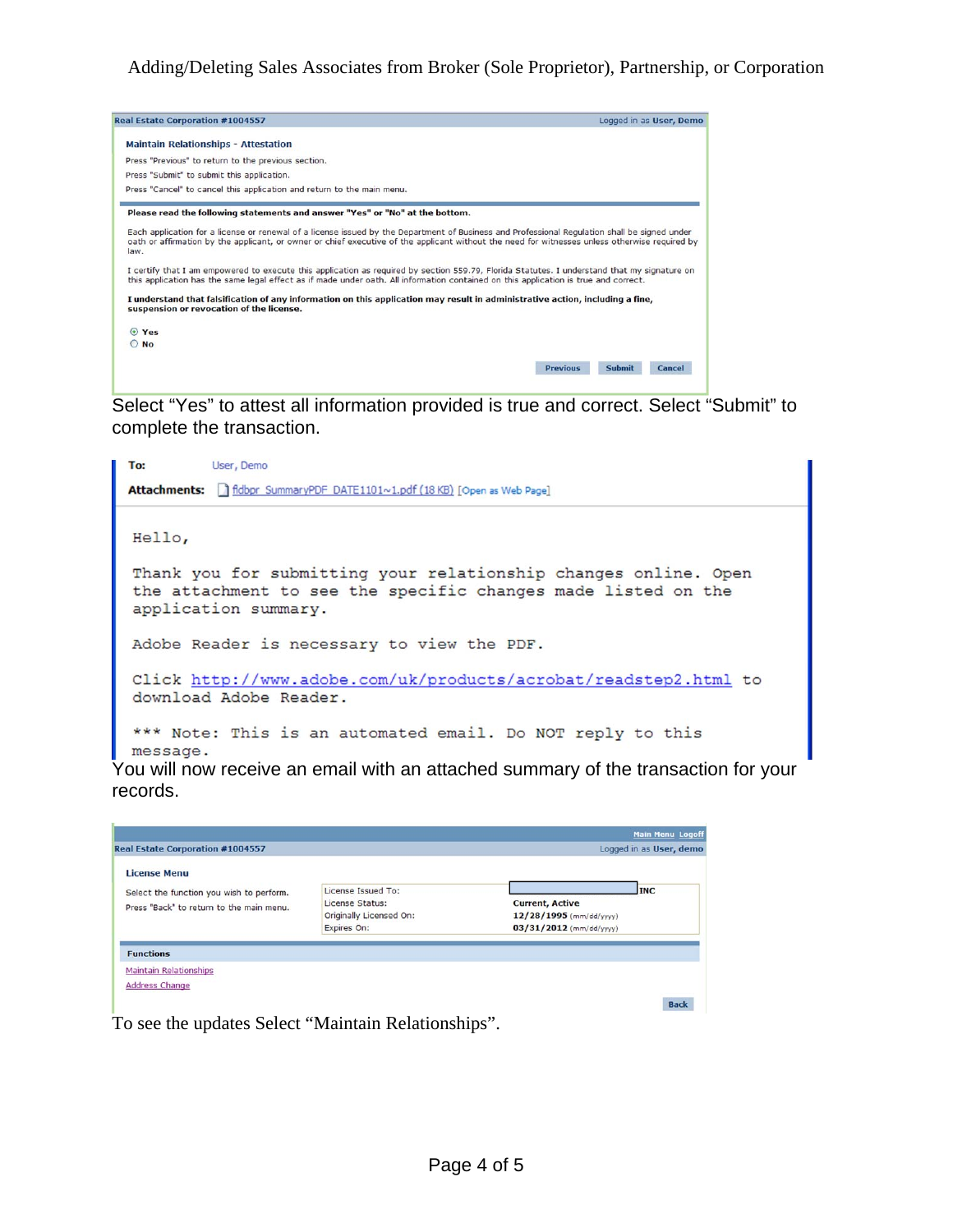

Select "Yes" to attest all information provided is true and correct. Select "Submit" to complete the transaction.



records.

| Real Estate Corporation #1004557                                |                                            |                                                   | <b>Main Menu Logoff</b><br>Logged in as User, demo |
|-----------------------------------------------------------------|--------------------------------------------|---------------------------------------------------|----------------------------------------------------|
| <b>License Menu</b><br>Select the function you wish to perform. | License Issued To:                         |                                                   | <b>INC</b>                                         |
| Press "Back" to return to the main menu.                        | License Status:<br>Originally Licensed On: | <b>Current, Active</b><br>12/28/1995 (mm/dd/yyyy) |                                                    |
|                                                                 | Expires On:                                | $03/31/2012$ (mm/dd/yyyy)                         |                                                    |
| <b>Functions</b>                                                |                                            |                                                   |                                                    |
| <b>Maintain Relationships</b>                                   |                                            |                                                   |                                                    |
| Address Change                                                  |                                            |                                                   |                                                    |
|                                                                 |                                            |                                                   | <b>Back</b>                                        |

To see the updates Select "Maintain Relationships".